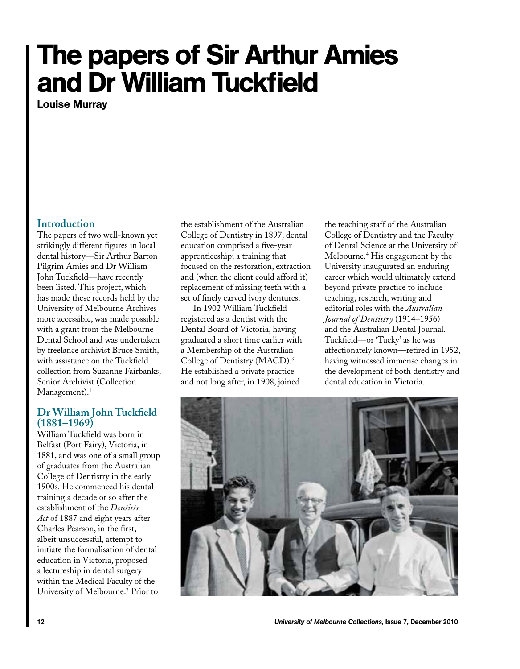# The papers of Sir Arthur Amies and Dr William Tuckfield

Louise Murray

#### **Introduction**

The papers of two well-known yet strikingly different figures in local dental history—Sir Arthur Barton Pilgrim Amies and Dr William John Tuckfield—have recently been listed. This project, which has made these records held by the University of Melbourne Archives more accessible, was made possible with a grant from the Melbourne Dental School and was undertaken by freelance archivist Bruce Smith, with assistance on the Tuckfield collection from Suzanne Fairbanks, Senior Archivist (Collection Management).<sup>1</sup>

## **Dr William John Tuckfield (1881–1969)**

William Tuckfield was born in Belfast (Port Fairy), Victoria, in 1881, and was one of a small group of graduates from the Australian College of Dentistry in the early 1900s. He commenced his dental training a decade or so after the establishment of the *Dentists Act* of 1887 and eight years after Charles Pearson, in the first, albeit unsuccessful, attempt to initiate the formalisation of dental education in Victoria, proposed a lectureship in dental surgery within the Medical Faculty of the University of Melbourne.<sup>2</sup> Prior to

the establishment of the Australian College of Dentistry in 1897, dental education comprised a five-year apprenticeship; a training that focused on the restoration, extraction and (when the client could afford it) replacement of missing teeth with a set of finely carved ivory dentures.

In 1902 William Tuckfield registered as a dentist with the Dental Board of Victoria, having graduated a short time earlier with a Membership of the Australian College of Dentistry (MACD).3 He established a private practice and not long after, in 1908, joined

the teaching staff of the Australian College of Dentistry and the Faculty of Dental Science at the University of Melbourne.4 His engagement by the University inaugurated an enduring career which would ultimately extend beyond private practice to include teaching, research, writing and editorial roles with the *Australian Journal of Dentistry* (1914–1956) and the Australian Dental Journal. Tuckfield—or 'Tucky' as he was affectionately known—retired in 1952, having witnessed immense changes in the development of both dentistry and dental education in Victoria.

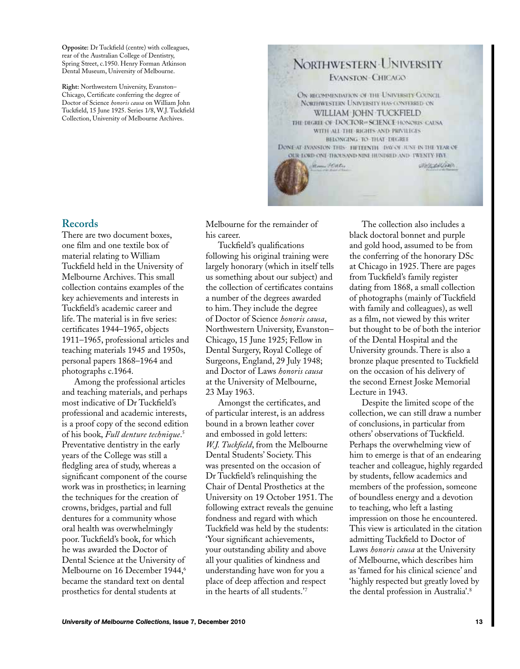**Opposite:** Dr Tuckfield (centre) with colleagues, rear of the Australian College of Dentistry, Spring Street, c.1950. Henry Forman Atkinson Dental Museum, University of Melbourne.

**Right:** Northwestern University, Evanston– Chicago, Certificate conferring the degree of Doctor of Science *honoris causa* on William John Tuckfield, 15 June 1925. Series 1/8, W.J. Tuckfield Collection, University of Melbourne Archives.



## **Records**

There are two document boxes, one film and one textile box of material relating to William Tuckfield held in the University of Melbourne Archives. This small collection contains examples of the key achievements and interests in Tuckfield's academic career and life. The material is in five series: certificates 1944–1965, objects 1911–1965, professional articles and teaching materials 1945 and 1950s, personal papers 1868–1964 and photographs c.1964.

Among the professional articles and teaching materials, and perhaps most indicative of Dr Tuckfield's professional and academic interests, is a proof copy of the second edition of his book, *Full denture technique*. 5 Preventative dentistry in the early years of the College was still a fledgling area of study, whereas a significant component of the course work was in prosthetics; in learning the techniques for the creation of crowns, bridges, partial and full dentures for a community whose oral health was overwhelmingly poor. Tuckfield's book, for which he was awarded the Doctor of Dental Science at the University of Melbourne on 16 December 1944,<sup>6</sup> became the standard text on dental prosthetics for dental students at

Melbourne for the remainder of his career.

Tuckfield's qualifications following his original training were largely honorary (which in itself tells us something about our subject) and the collection of certificates contains a number of the degrees awarded to him. They include the degree of Doctor of Science *honoris causa*, Northwestern University, Evanston– Chicago, 15 June 1925; Fellow in Dental Surgery, Royal College of Surgeons, England, 29 July 1948; and Doctor of Laws *honoris causa* at the University of Melbourne, 23 May 1963.

Amongst the certificates, and of particular interest, is an address bound in a brown leather cover and embossed in gold letters: *W.J. Tuckfield*, from the Melbourne Dental Students' Society. This was presented on the occasion of Dr Tuckfield's relinquishing the Chair of Dental Prosthetics at the University on 19 October 1951. The following extract reveals the genuine fondness and regard with which Tuckfield was held by the students: 'Your significant achievements, your outstanding ability and above all your qualities of kindness and understanding have won for you a place of deep affection and respect in the hearts of all students.'7

The collection also includes a black doctoral bonnet and purple and gold hood, assumed to be from the conferring of the honorary DSc at Chicago in 1925. There are pages from Tuckfield's family register dating from 1868, a small collection of photographs (mainly of Tuckfield with family and colleagues), as well as a film, not viewed by this writer but thought to be of both the interior of the Dental Hospital and the University grounds. There is also a bronze plaque presented to Tuckfield on the occasion of his delivery of the second Ernest Joske Memorial Lecture in 1943.

Despite the limited scope of the collection, we can still draw a number of conclusions, in particular from others' observations of Tuckfield. Perhaps the overwhelming view of him to emerge is that of an endearing teacher and colleague, highly regarded by students, fellow academics and members of the profession, someone of boundless energy and a devotion to teaching, who left a lasting impression on those he encountered. This view is articulated in the citation admitting Tuckfield to Doctor of Laws *honoris causa* at the University of Melbourne, which describes him as 'famed for his clinical science' and 'highly respected but greatly loved by the dental profession in Australia'.8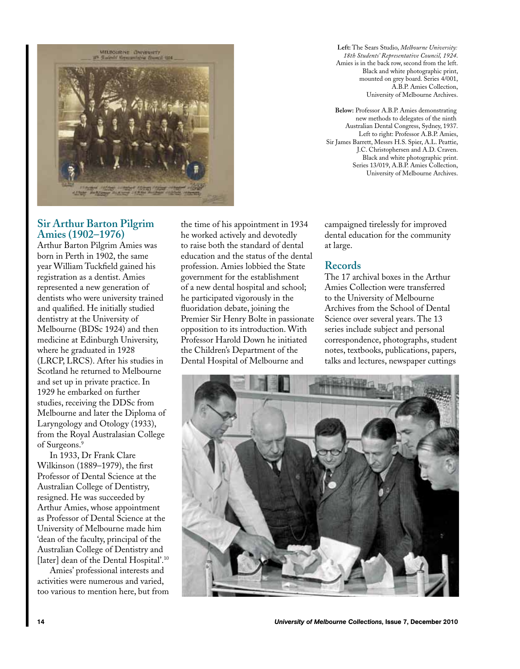

**Left:** The Sears Studio, *Melbourne University: 18th Students' Representative Council, 1924*. Amies is in the back row, second from the left. Black and white photographic print, mounted on grey board. Series 4/001, A.B.P. Amies Collection, University of Melbourne Archives.

**Below:** Professor A.B.P. Amies demonstrating new methods to delegates of the ninth Australian Dental Congress, Sydney, 1937. Left to right: Professor A.B.P. Amies, Sir James Barrett, Messrs H.S. Spier, A.L. Peattie, J.C. Christophersen and A.D. Craven. Black and white photographic print. Series 13/019, A.B.P. Amies Collection, University of Melbourne Archives.

# **Sir Arthur Barton Pilgrim Amies (1902–1976)**

Arthur Barton Pilgrim Amies was born in Perth in 1902, the same year William Tuckfield gained his registration as a dentist. Amies represented a new generation of dentists who were university trained and qualified. He initially studied dentistry at the University of Melbourne (BDSc 1924) and then medicine at Edinburgh University, where he graduated in 1928 (LRCP, LRCS). After his studies in Scotland he returned to Melbourne and set up in private practice. In 1929 he embarked on further studies, receiving the DDSc from Melbourne and later the Diploma of Laryngology and Otology (1933), from the Royal Australasian College of Surgeons.9

In 1933, Dr Frank Clare Wilkinson (1889–1979), the first Professor of Dental Science at the Australian College of Dentistry, resigned. He was succeeded by Arthur Amies, whose appointment as Professor of Dental Science at the University of Melbourne made him 'dean of the faculty, principal of the Australian College of Dentistry and [later] dean of the Dental Hospital'.<sup>10</sup>

Amies' professional interests and activities were numerous and varied, too various to mention here, but from the time of his appointment in 1934 he worked actively and devotedly to raise both the standard of dental education and the status of the dental profession. Amies lobbied the State government for the establishment of a new dental hospital and school; he participated vigorously in the fluoridation debate, joining the Premier Sir Henry Bolte in passionate opposition to its introduction. With Professor Harold Down he initiated the Children's Department of the Dental Hospital of Melbourne and

campaigned tirelessly for improved dental education for the community at large.

## **Records**

The 17 archival boxes in the Arthur Amies Collection were transferred to the University of Melbourne Archives from the School of Dental Science over several years. The 13 series include subject and personal correspondence, photographs, student notes, textbooks, publications, papers, talks and lectures, newspaper cuttings

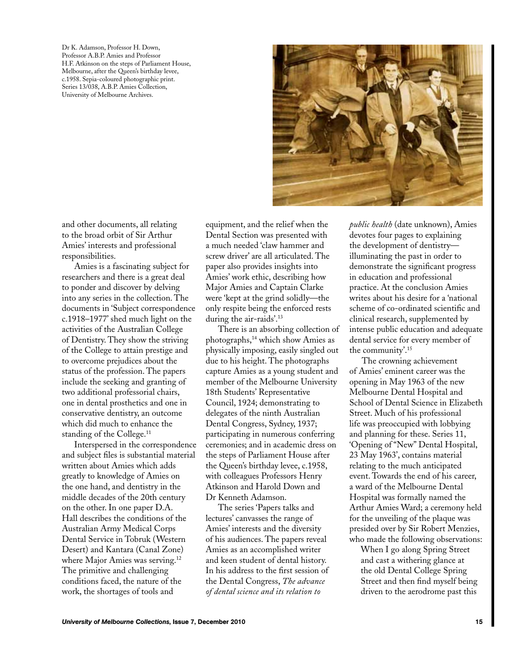Dr K. Adamson, Professor H. Down, Professor A.B.P. Amies and Professor H.F. Atkinson on the steps of Parliament House, Melbourne, after the Queen's birthday levee, c.1958. Sepia-coloured photographic print. Series 13/038, A.B.P. Amies Collection, University of Melbourne Archives.



and other documents, all relating to the broad orbit of Sir Arthur Amies' interests and professional responsibilities.

Amies is a fascinating subject for researchers and there is a great deal to ponder and discover by delving into any series in the collection. The documents in 'Subject correspondence c.1918–1977' shed much light on the activities of the Australian College of Dentistry. They show the striving of the College to attain prestige and to overcome prejudices about the status of the profession. The papers include the seeking and granting of two additional professorial chairs, one in dental prosthetics and one in conservative dentistry, an outcome which did much to enhance the standing of the College.<sup>11</sup>

Interspersed in the correspondence and subject files is substantial material written about Amies which adds greatly to knowledge of Amies on the one hand, and dentistry in the middle decades of the 20th century on the other. In one paper D.A. Hall describes the conditions of the Australian Army Medical Corps Dental Service in Tobruk (Western Desert) and Kantara (Canal Zone) where Major Amies was serving.<sup>12</sup> The primitive and challenging conditions faced, the nature of the work, the shortages of tools and

equipment, and the relief when the Dental Section was presented with a much needed 'claw hammer and screw driver' are all articulated. The paper also provides insights into Amies' work ethic, describing how Major Amies and Captain Clarke were 'kept at the grind solidly—the only respite being the enforced rests during the air-raids'.<sup>13</sup>

There is an absorbing collection of photographs,14 which show Amies as physically imposing, easily singled out due to his height. The photographs capture Amies as a young student and member of the Melbourne University 18th Students' Representative Council, 1924; demonstrating to delegates of the ninth Australian Dental Congress, Sydney, 1937; participating in numerous conferring ceremonies; and in academic dress on the steps of Parliament House after the Queen's birthday levee, c.1958, with colleagues Professors Henry Atkinson and Harold Down and Dr Kenneth Adamson.

The series 'Papers talks and lectures' canvasses the range of Amies' interests and the diversity of his audiences. The papers reveal Amies as an accomplished writer and keen student of dental history. In his address to the first session of the Dental Congress, *The advance of dental science and its relation to* 

*public health* (date unknown), Amies devotes four pages to explaining the development of dentistry illuminating the past in order to demonstrate the significant progress in education and professional practice. At the conclusion Amies writes about his desire for a 'national scheme of co-ordinated scientific and clinical research, supplemented by intense public education and adequate dental service for every member of the community'.15

The crowning achievement of Amies' eminent career was the opening in May 1963 of the new Melbourne Dental Hospital and School of Dental Science in Elizabeth Street. Much of his professional life was preoccupied with lobbying and planning for these. Series 11, 'Opening of "New" Dental Hospital, 23 May 1963', contains material relating to the much anticipated event. Towards the end of his career, a ward of the Melbourne Dental Hospital was formally named the Arthur Amies Ward; a ceremony held for the unveiling of the plaque was presided over by Sir Robert Menzies, who made the following observations:

When I go along Spring Street and cast a withering glance at the old Dental College Spring Street and then find myself being driven to the aerodrome past this